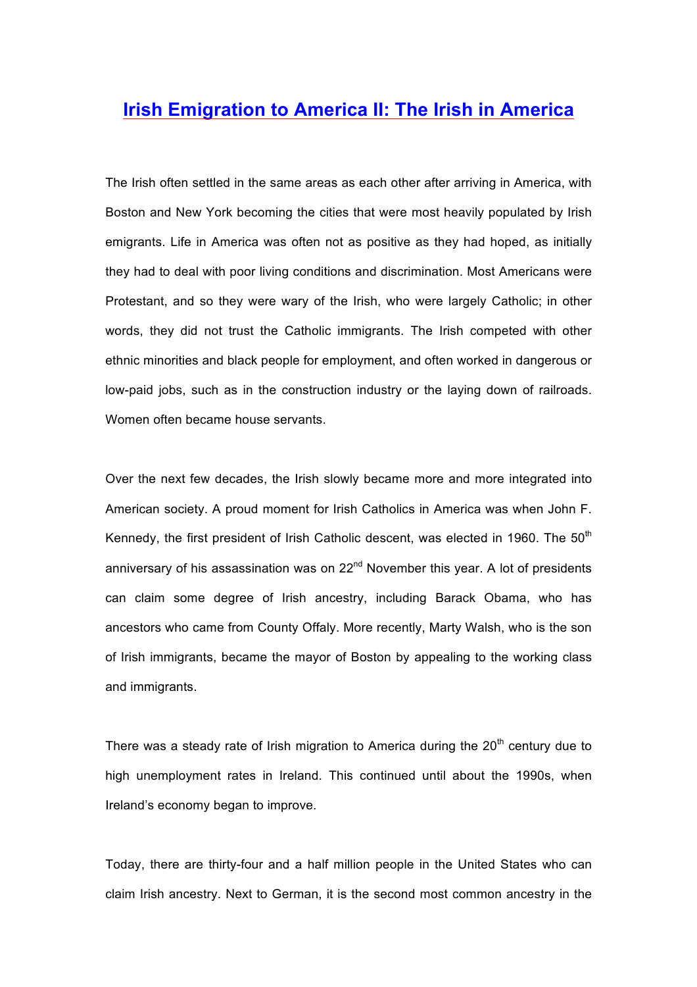## **Irish Emigration to America II: The Irish in America**

The Irish often settled in the same areas as each other after arriving in America, with Boston and New York becoming the cities that were most heavily populated by Irish emigrants. Life in America was often not as positive as they had hoped, as initially they had to deal with poor living conditions and discrimination. Most Americans were Protestant, and so they were wary of the Irish, who were largely Catholic; in other words, they did not trust the Catholic immigrants. The Irish competed with other ethnic minorities and black people for employment, and often worked in dangerous or low-paid jobs, such as in the construction industry or the laying down of railroads. Women often became house servants.

Over the next few decades, the Irish slowly became more and more integrated into American society. A proud moment for Irish Catholics in America was when John F. Kennedy, the first president of Irish Catholic descent, was elected in 1960. The  $50<sup>th</sup>$ anniversary of his assassination was on  $22<sup>nd</sup>$  November this year. A lot of presidents can claim some degree of Irish ancestry, including Barack Obama, who has ancestors who came from County Offaly. More recently, Marty Walsh, who is the son of Irish immigrants, became the mayor of Boston by appealing to the working class and immigrants.

There was a steady rate of Irish migration to America during the  $20<sup>th</sup>$  century due to high unemployment rates in Ireland. This continued until about the 1990s, when Ireland's economy began to improve.

Today, there are thirty-four and a half million people in the United States who can claim Irish ancestry. Next to German, it is the second most common ancestry in the